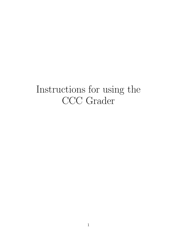# Instructions for using the CCC Grader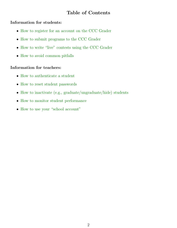### Table of Contents

### Information for students:

- [How to register for an account on the CCC Grader](#page-2-0)
- [How to submit programs to the CCC Grader](#page-3-0)
- [How to write "live" contests using the CCC Grader](#page-4-0)
- [How to avoid common pitfalls](#page-5-0)

### Information for teachers:

- [How to authenticate a student](#page-6-0)
- [How to reset student passwords](#page-7-0)
- [How to inactivate \(e.g., graduate/ungraduate/hide\) students](#page-8-0)
- [How to monitor student performance](#page-9-0)
- [How to use your "school account"](#page-10-0)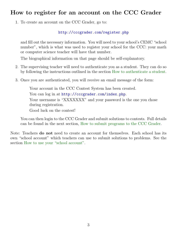# <span id="page-2-0"></span>How to register for an account on the CCC Grader

1. To create an account on the CCC Grader, go to:

### <http://cccgrader.com/register.php>

and fill out the necessary information. You will need to your school's CEMC "school number", which is what was used to register your school for the CCC: your math or computer science teacher will have that number.

The biographical information on that page should be self-explanatory.

- 2. The supervising teacher will need to authenticate you as a student. They can do so by following the instructions outlined in the section [How to authenticate a student.](#page-6-0)
- 3. Once you are authenticated, you will receive an email message of the form:

Your account in the CCC Contest System has been created. You can  $log$  in at <http://cccgrader.com/index.php>. Your username is "XXXXXXX" and your password is the one you chose during registration. Good luck on the contest!

You can then login to the CCC Grader and submit solutions to contests. Full details can be found in the next section, [How to submit programs to the CCC Grader.](#page-3-0)

Note: Teachers do not need to create an account for themselves. Each school has its own "school account" which teachers can use to submit solutions to problems. See the section [How to use your "school account".](#page-10-0)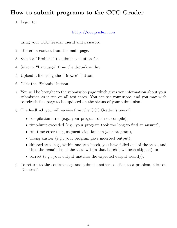# <span id="page-3-0"></span>How to submit programs to the CCC Grader

1. Login to:

### <http://cccgrader.com>

using your CCC Grader userid and password.

- 2. "Enter" a contest from the main page.
- 3. Select a "Problem" to submit a solution for.
- 4. Select a "Language" from the drop-down list.
- 5. Upload a file using the "Browse" button.
- 6. Click the "Submit" button.
- 7. You will be brought to the submission page which gives you information about your submission as it run on all test cases. You can see your score, and you may wish to refresh this page to be updated on the status of your submission.
- 8. The feedback you will receive from the CCC Grader is one of:
	- compilation error (e.g., your program did not compile),
	- time-limit exceeded (e.g., your program took too long to find an answer),
	- run-time error (e.g., segmentation fault in your program),
	- wrong answer (e.g., your program gave incorrect output),
	- skipped test (e.g., within one test batch, you have failed one of the tests, and thus the remainder of the tests within that batch have been skipped), or
	- correct (e.g., your output matches the expected output exactly).
- 9. To return to the contest page and submit another solution to a problem, click on "Contest".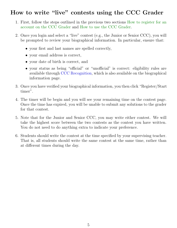# <span id="page-4-0"></span>How to write "live" contests using the CCC Grader

- 1. First, follow the steps outlined in the previous two sections [How to register for an](#page-2-0) [account on the CCC Grader](#page-2-0) and [How to use the CCC Grader.](#page-3-0)
- 2. Once you login and select a "live" contest (e.g., the Junior or Senior CCC), you will be prompted to review your biographical information. In particular, ensure that:
	- your first and last names are spelled correctly,
	- your email address is correct,
	- your date of birth is correct, and
	- your status as being "official" or "unofficial" is correct: eligibility rules are available through [CCC Recognition,](http://cemc.uwaterloo.ca/contests/recognition.html#ccc) which is also available on the biographical information page.
- 3. Once you have verified your biographical information, you then click "Register/Start timer".
- 4. The timer will be begin and you will see your remaining time on the contest page. Once the time has expired, you will be unable to submit any solutions to the grader for that contest.
- 5. Note that for the Junior and Senior CCC, you may write either contest. We will take the highest score between the two contests as the contest you have written. You do not need to do anything extra to indicate your preference.
- 6. Students should write the contest at the time specified by your supervising teacher. That is, all students should write the same contest at the same time, rather than at different times during the day.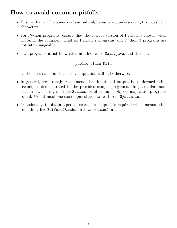# <span id="page-5-0"></span>How to avoid common pitfalls

- Ensure that all filenames contain only alphanumeric, underscore  $($ .), or dash  $($ - $)$ characters.
- For Python programs, ensure that the correct version of Python is chosen when choosing the compiler. That is, Python 2 programs and Python 3 programs are not interchangeable.
- Java programs must be written in a file called Main.java, and thus have:

### public class Main

as the class name in that file. Compilation will fail otherwise.

- In general, we strongly recommend that input and output be performed using techniques demonstrated in the provided sample programs. In particular, note that in Java, using multiple Scanner or other input objects may cause programs to fail. Use at most one such input object to read from System.in.
- Occasionally, to obtain a perfect score, "fast input" is required which means using something like BufferedReader in Java or scanf in  $C++$ .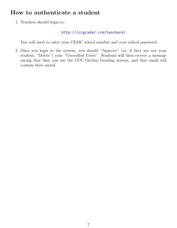# <span id="page-6-0"></span>How to authenticate a student

1. Teachers should login to:

<http://cccgrader.com/teachers/>

You will need to enter your CEMC school number and your school password.

2. Once you login to the system, you should "Approve" (or, if they are not your student, "Delete") your "Unverified Users". Students will then receive a message saying that they can use the CCC On-line Grading system, and that email will contain their userid.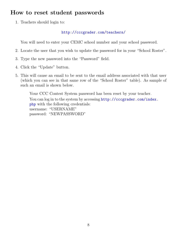# <span id="page-7-0"></span>How to reset student passwords

1. Teachers should login to:

### <http://cccgrader.com/teachers/>

You will need to enter your CEMC school number and your school password.

- 2. Locate the user that you wish to update the password for in your "School Roster".
- 3. Type the new password into the "Password" field.
- 4. Click the "Update" button.
- 5. This will cause an email to be sent to the email address associated with that user (which you can see in that same row of the "School Roster" table). As sample of such an email is shown below.

Your CCC Contest System password has been reset by your teacher. You can  $log$  in to the system by accessing  $http://cccgrader.com/index.$ [php](http://cccgrader.com/index.php) with the following credentials: username: "USERNAME" password: "NEWPASSWORD"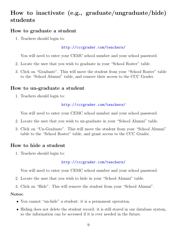# <span id="page-8-0"></span>How to inactivate (e.g., graduate/ungraduate/hide) students

### How to graduate a student

1. Teachers should login to:

### <http://cccgrader.com/teachers/>

You will need to enter your CEMC school number and your school password.

- 2. Locate the user that you wish to graduate in your "School Roster" table.
- 3. Click on "Graduate". This will move the student from your "School Roster" table to the "School Alumni" table, and remove their access to the CCC Grader.

### How to un-graduate a student

1. Teachers should login to:

### <http://cccgrader.com/teachers/>

You will need to enter your CEMC school number and your school password.

- 2. Locate the user that you wish to un-graduate in your "School Alumni" table.
- 3. Click on "Un-Graduate". This will move the student from your "School Alumni" table to the "School Roster" table, and grant access to the CCC Grader.

### How to hide a student

1. Teachers should login to:

### <http://cccgrader.com/teachers/>

You will need to enter your CEMC school number and your school password.

- 2. Locate the user that you wish to hide in your "School Alumni" table.
- 3. Click on "Hide". This will remove the student from your "School Alumni".

### Notes:

- You cannot "un-hide" a student: it is a permanent operation.
- Hiding does not delete the student record: it is still stored in our database system, so the information can be accessed if it is ever needed in the future.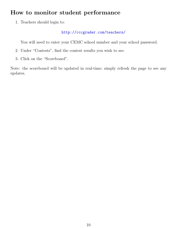# <span id="page-9-0"></span>How to monitor student performance

1. Teachers should login to:

### <http://cccgrader.com/teachers/>

You will need to enter your CEMC school number and your school password.

- 2. Under "Contests", find the contest results you wish to see.
- 3. Click on the "Scoreboard".

Note: the scoreboard will be updated in real-time; simply refresh the page to see any updates.